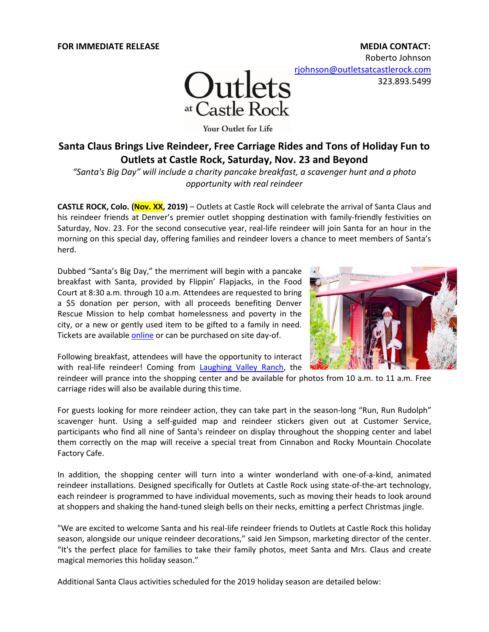Roberto Johnson [rjohnson@outletsatcastlerock.com](mailto:rjohnson@outletsatcastlerock.com)

323.893.5499



Your Outlet for Life

# **Santa Claus Brings Live Reindeer, Free Carriage Rides and Tons of Holiday Fun to Outlets at Castle Rock, Saturday, Nov. 23 and Beyond**

*"Santa's Big Day" will include a charity pancake breakfast, a scavenger hunt and a photo opportunity with real reindeer*

**CASTLE ROCK, Colo. (Nov. XX, 2019)** – Outlets at Castle Rock will celebrate the arrival of Santa Claus and his reindeer friends at Denver's premier outlet shopping destination with family-friendly festivities on Saturday, Nov. 23. For the second consecutive year, real-life reindeer will join Santa for an hour in the morning on this special day, offering families and reindeer lovers a chance to meet members of Santa's herd.

Dubbed "Santa's Big Day," the merriment will begin with a pancake breakfast with Santa, provided by Flippin' Flapjacks, in the Food Court at 8:30 a.m. through 10 a.m. Attendees are requested to bring a \$5 donation per person, with all proceeds benefiting Denver Rescue Mission to help combat homelessness and poverty in the city, or a new or gently used item to be gifted to a family in need. Tickets are availabl[e online](https://www.eventbrite.com/e/santas-big-day-tickets-81632550155?utm-medium=discovery&utm-campaign=social&utm-content=attendeeshare&aff=escb&utm-source=cp&utm-term=listing) or can be purchased on site day-of.



Following breakfast, attendees will have the opportunity to interact with real-life reindeer! Coming from [Laughing Valley Ranch,](http://www.laughingvalleyranch.com/) the

reindeer will prance into the shopping center and be available for photos from 10 a.m. to 11 a.m. Free carriage rides will also be available during this time.

For guests looking for more reindeer action, they can take part in the season-long "Run, Run Rudolph" scavenger hunt. Using a self-guided map and reindeer stickers given out at Customer Service, participants who find all nine of Santa's reindeer on display throughout the shopping center and label them correctly on the map will receive a special treat from Cinnabon and Rocky Mountain Chocolate Factory Cafe.

In addition, the shopping center will turn into a winter wonderland with one-of-a-kind, animated reindeer installations. Designed specifically for Outlets at Castle Rock using state-of-the-art technology, each reindeer is programmed to have individual movements, such as moving their heads to look around at shoppers and shaking the hand-tuned sleigh bells on their necks, emitting a perfect Christmas jingle.

"We are excited to welcome Santa and his real-life reindeer friends to Outlets at Castle Rock this holiday season, alongside our unique reindeer decorations," said Jen Simpson, marketing director of the center. "It's the perfect place for families to take their family photos, meet Santa and Mrs. Claus and create magical memories this holiday season."

Additional Santa Claus activities scheduled for the 2019 holiday season are detailed below: